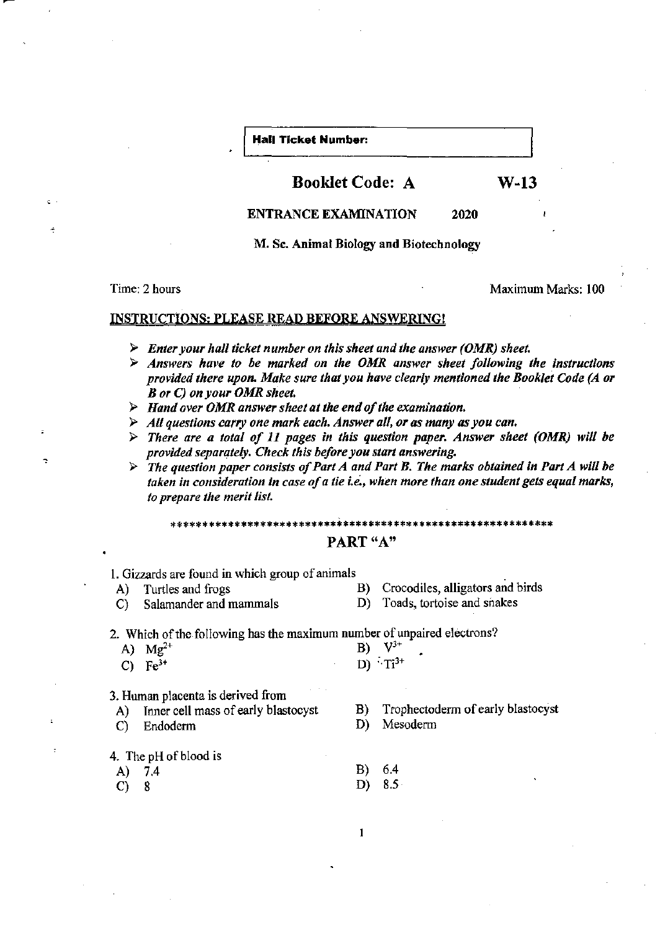#### **Hall Ticket Number:**

## Booklet Code: A W-13

ENTRANCE EXAMINATION 2020

M. Sc. Animal Biology and Biotechnology

Time: 2 hours and the contract of the contract of the Maximum Marks: 100

#### INSTRUCTIONS; PLEASE READ BEFORE ANSWERING!

- )i> *Enter your hall ticket number on this sheet and the answer (OMR) sheet.*
- )i> *Answers have to he marked on the OMR answer sheet following the instructions provided there upon. Make sure that you have clearly mentioned the Booklet Code (A or B or* C) *on your OMR sheet.*
- )i> *Hand over OMR answer sheet at the end of the examination.*
- )i> *All questions carry one mark each. Answer all. or as many as you can.*
- )i> *There are a total of* 11 *pages in this question paper. Answer sheet (OMR) will he provided separately. Check this before you start answering.*
- $\triangleright$  The question paper consists of Part A and Part B. The marks obtained in Part A will be *taken in consideration In case of a tie i.e., when more than one student gets equal marks, to prepare the merit IisL*

\*\*\*\*\*\*\*\*\*\*\*\*\*\*\*\*\*\*\*\*\*\*\*\*\*\*\*\*\*\*\*\*\*\*\*\*\*\*\*\*\*\*\*\*\*\*\*\*\*\*\*\*\*\*\*\*\*\*\*\* PART "A"

1. Gizzards are found in which group of animals

- 
- C) Salamander and mammals D) Toads, tortoise and snakes
- A) Turtles and frogs B) Crocodiles, alligators and birds
	-

2. Which of the following has the maximum number of unpaired electrons?

| A) $Mg^{2+}$ |  | <b>B</b> ) $V^{3+}$ |
|--------------|--|---------------------|
| C) $Fe^{3+}$ |  | D) $Ti^{3+}$        |

3. Human placenta is derived from

- A) Inner cell mass of early blastocyst
- C) Endoderm

#### 4. The pH of blood is

- 
- A) 7.4
- $C) 8$
- B) Trophectoderm of early blastocyst
- D) Mesoderm
- B) 6.4
- D) 8.5
- $\mathbf{1}$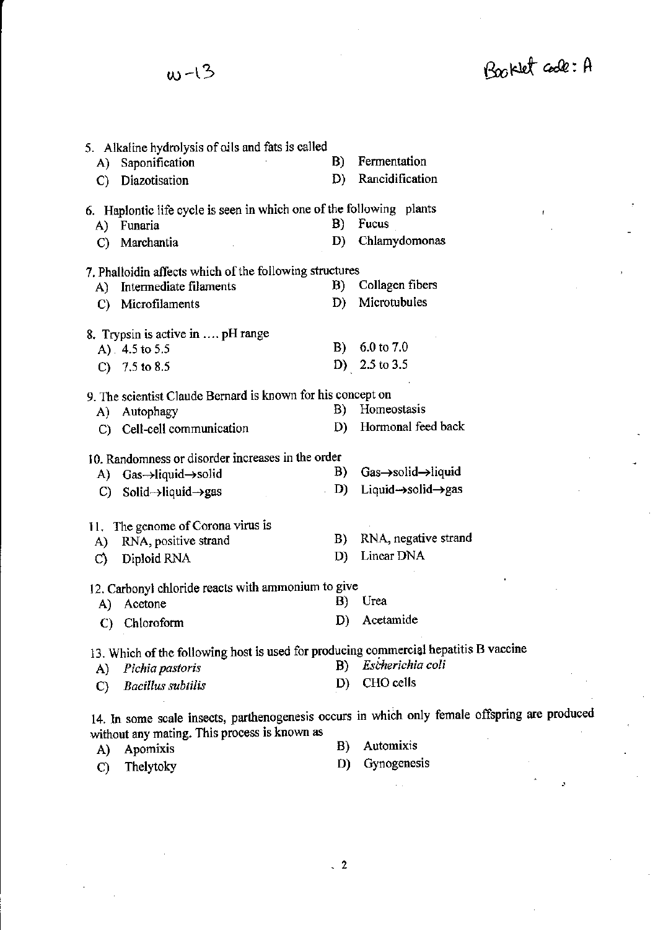$\omega$ -13

Booklet code: A

| A)<br>$\mathcal{C}$ | 5. Alkaline hydrolysis of oils and fats is called<br>Saponification<br>Diazotisation | B)<br>D) | Fermentation<br>Rancidification                                                               |
|---------------------|--------------------------------------------------------------------------------------|----------|-----------------------------------------------------------------------------------------------|
|                     | 6. Haplontic life cycle is seen in which one of the following plants                 |          | $\pmb{\mathfrak{f}}$                                                                          |
|                     | A) Funaria                                                                           | B)       | Fucus                                                                                         |
| C)                  | Marchantia                                                                           | D)       | Chlamydomonas                                                                                 |
|                     | 7. Phalloidin affects which of the following structures                              |          |                                                                                               |
|                     | A) Intermediate filaments                                                            | B)       | Collagen fibers                                                                               |
| $\mathbf{C}$        | Microfilaments                                                                       | D)       | Microtubules                                                                                  |
|                     | 8. Trypsin is active in  pH range                                                    |          |                                                                                               |
|                     | A) $4.5$ to 5.5                                                                      | B)       | $6.0 \text{ to } 7.0$                                                                         |
|                     | C) $7.5$ to 8.5                                                                      |          | D) 2.5 to 3.5                                                                                 |
|                     | 9. The scientist Claude Bernard is known for his concept on                          |          |                                                                                               |
|                     | A) Autophagy                                                                         | B)       | Homeostasis                                                                                   |
|                     | C) Cell-cell communication                                                           | D)       | Hormonal feed back                                                                            |
|                     | 10. Randomness or disorder increases in the order                                    |          |                                                                                               |
|                     | A) $Gas \rightarrow liquid \rightarrow solid$                                        | B)       | Gas->solid->liquid                                                                            |
|                     | C) Solid->liquid->gas                                                                | D)       | Liquid- $\rightarrow$ solid $\rightarrow$ gas                                                 |
|                     | 11. The genome of Corona virus is                                                    |          |                                                                                               |
| A)                  | RNA, positive strand                                                                 | B)       | RNA, negative strand                                                                          |
| $\mathcal{O}$       | Diploid RNA                                                                          | D)       | Linear DNA                                                                                    |
|                     | 12. Carbonyl chloride reacts with ammonium to give                                   |          |                                                                                               |
| A)                  | Acetone                                                                              | B)       | Urea                                                                                          |
| C)                  | Chloroform                                                                           | D)       | Acetamide                                                                                     |
|                     | 13. Which of the following host is used for producing commercial hepatitis B vaccine |          |                                                                                               |
| A)                  | Pichia pastoris                                                                      | B)       | Escherichia coli                                                                              |
| $\mathbf{C}$        | <b>Bacillus</b> subtilis                                                             | D)       | CHO cells                                                                                     |
|                     | without any mating. This process is known as                                         |          | 14. In some scale insects, parthenogenesis occurs in which only female offspring are produced |

- **A) Apomixis B) Automixis D) Gynogenesis**
- C) Thelytoky

 $\overline{\phantom{a}}$ 

 $\ddot{2}$ 

 $\frac{1}{2}$  .

l,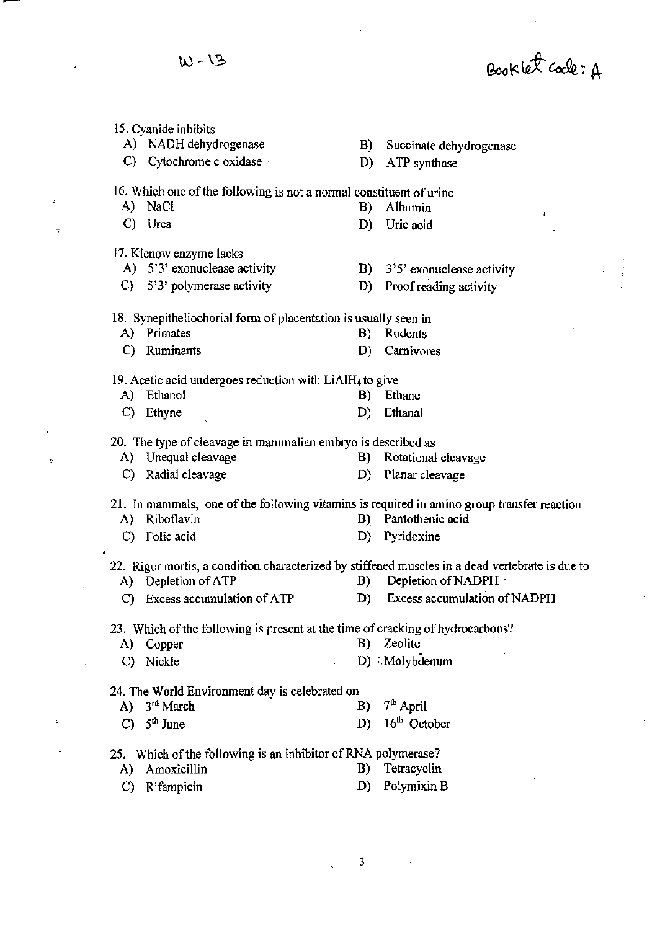$W - 13$ 

l.

 $\sim$   $\sim$ 

 $\mathcal{L}^{\pm}$ 

 $\tau$ 

 $\ddot{\phantom{a}}$ 

 $\dot{\gamma}$ 

 $\mathbf{r}$ 

 $\hat{\mathcal{L}}$ 

 $\sim$ 

Booklet code: A

 $\frac{1}{2}$ 

 $\frac{1}{2}$ 

|              | 15. Cyanide inhibits                                                                       |            |                                                                                                                         |
|--------------|--------------------------------------------------------------------------------------------|------------|-------------------------------------------------------------------------------------------------------------------------|
|              | A) NADH dehydrogenase                                                                      | <b>B</b> ) | Succinate dehydrogenase                                                                                                 |
|              | C) Cytochrome c oxidase                                                                    | D)         | ATP synthase                                                                                                            |
|              | 16. Which one of the following is not a normal constituent of urine                        |            |                                                                                                                         |
| A)           | NaCl                                                                                       | B)         | Albumin<br>ŧ                                                                                                            |
|              | C) Urea                                                                                    | D)         | Uric acid                                                                                                               |
|              | 17. Klenow enzyme lacks                                                                    |            |                                                                                                                         |
|              | A) 5'3' exonuclease activity                                                               |            | B) $3'5'$ exonuclease activity                                                                                          |
|              | C) $5'3'$ polymerase activity                                                              | D)         | Proof reading activity                                                                                                  |
|              | 18. Synepitheliochorial form of placentation is usually seen in                            |            |                                                                                                                         |
|              | A) Primates                                                                                | B)         | Rodents                                                                                                                 |
|              | C) Ruminants                                                                               | D)         | Carnivores                                                                                                              |
|              | 19. Acetic acid undergoes reduction with LiAlH <sub>4</sub> to give                        |            |                                                                                                                         |
|              | A) Ethanol                                                                                 |            | B) Ethane                                                                                                               |
| C)           | Ethyne                                                                                     | D)         | Ethanal                                                                                                                 |
|              | 20. The type of cleavage in mammalian embryo is described as                               |            |                                                                                                                         |
|              | A) Unequal cleavage                                                                        |            | B) Rotational cleavage                                                                                                  |
|              | C) Radial cleavage                                                                         |            | D) Planar cleavage                                                                                                      |
|              | 21. In mammals, one of the following vitamins is required in amino group transfer reaction |            |                                                                                                                         |
|              | A) Riboflavin                                                                              | B)         | Pantothenic acid                                                                                                        |
|              | C) Folic acid                                                                              | D)         | Pyridoxine                                                                                                              |
|              | A) Depletion of ATP                                                                        | <b>B</b> ) | 22. Rigor mortis, a condition characterized by stiffened muscles in a dead vertebrate is due to<br>Depletion of NADPH · |
|              | Excess accumulation of ATP                                                                 | D)         | <b>Excess accumulation of NADPH</b>                                                                                     |
| C)           |                                                                                            |            |                                                                                                                         |
| A)           | 23. Which of the following is present at the time of cracking of hydrocarbons?<br>Copper   | B)         | Zeolite                                                                                                                 |
|              |                                                                                            |            |                                                                                                                         |
|              | C) Nickle                                                                                  |            | D) Molybdenum                                                                                                           |
|              | 24. The World Environment day is celebrated on                                             |            |                                                                                                                         |
|              | A) $3rd March$                                                                             | B)         | 7 <sup>th</sup> April                                                                                                   |
| $\mathbf{C}$ | $5th$ June                                                                                 | D)         | 16 <sup>th</sup> October                                                                                                |
|              | 25. Which of the following is an inhibitor of RNA polymerase?                              |            |                                                                                                                         |
| A)           | Amoxicillin                                                                                | B)         | Tetracyclin                                                                                                             |
| $\mathbf{C}$ | Rifampicin                                                                                 | D)         | Polymixin B                                                                                                             |

3

 $\ddot{\phantom{a}}$ 

 $\sim$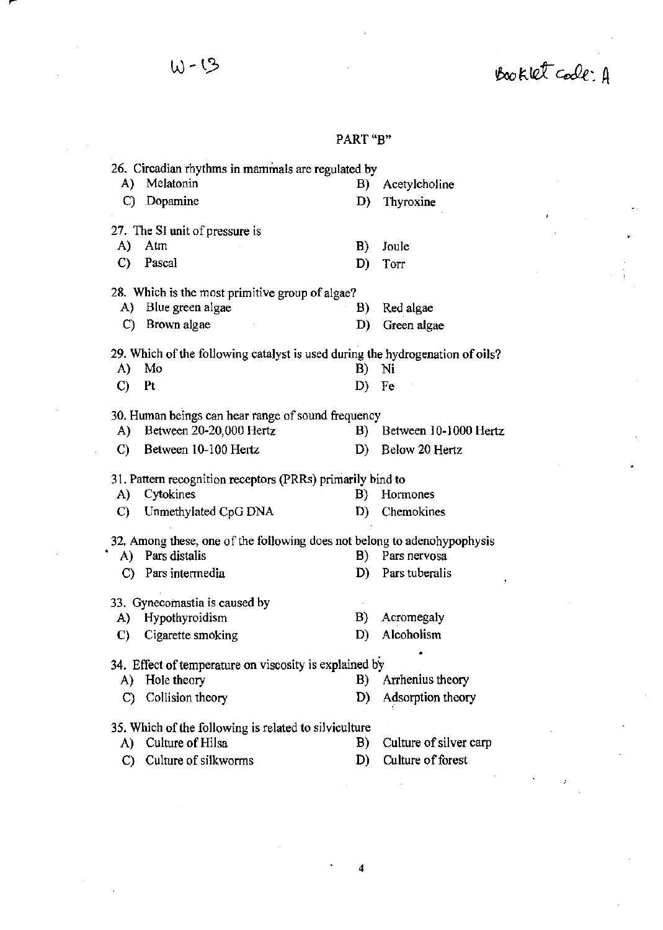Booklet code: A

 $\begin{aligned} \frac{d\mathbf{r}}{dt} = \frac{1}{2} \mathbf{r} \mathbf{r} \end{aligned}$ 

 $\frac{1}{2}$ 

# $W - 13$

 $\mathcal{A}_\mathcal{A}$ 

### **PART "B"**

|                                                                               | 26. Circadian rhythms in mammals are regulated by                        |            |                        |  |  |  |
|-------------------------------------------------------------------------------|--------------------------------------------------------------------------|------------|------------------------|--|--|--|
| A).                                                                           | Melatonin                                                                | B)         | Acetylcholine          |  |  |  |
|                                                                               | C) Dopamine                                                              | D)         | Thyroxine              |  |  |  |
|                                                                               | 27. The SI unit of pressure is                                           |            |                        |  |  |  |
| A)                                                                            | Atm                                                                      | B)         | Joule                  |  |  |  |
| $\mathbf{C}$                                                                  | Pascal                                                                   | D)         | Torr                   |  |  |  |
| 28. Which is the most primitive group of algae?                               |                                                                          |            |                        |  |  |  |
| A)                                                                            | Blue green algae                                                         | B)         | Red algae              |  |  |  |
|                                                                               | C) Brown algae                                                           | D)         | Green algae            |  |  |  |
| 29. Which of the following catalyst is used during the hydrogenation of oils? |                                                                          |            |                        |  |  |  |
| A)                                                                            | Mo                                                                       | B)         | Ni                     |  |  |  |
| $\mathcal{C}$                                                                 | Pt                                                                       | D)         | Fe                     |  |  |  |
|                                                                               | 30. Human beings can hear range of sound frequency                       |            |                        |  |  |  |
| A)                                                                            | Between 20-20,000 Hertz                                                  | $\bf{B}$ ) | Between 10-1000 Hertz  |  |  |  |
| C)                                                                            | Between 10-100 Hertz                                                     | D)         | Below 20 Hertz         |  |  |  |
|                                                                               | 31. Pattern recognition receptors (PRRs) primarily bind to               |            |                        |  |  |  |
| A)                                                                            | Cytokines                                                                | B)         | Hormones               |  |  |  |
| C)                                                                            | Unmethylated CpG DNA                                                     | D)         | Chemokines             |  |  |  |
|                                                                               | 32. Among these, one of the following does not belong to adenohypophysis |            |                        |  |  |  |
|                                                                               | A) Pars distalis                                                         | B)         | Pars nervosa           |  |  |  |
|                                                                               | C) Pars intermedia                                                       | D)         | Pars tuberalis         |  |  |  |
|                                                                               | 33. Gynecomastia is caused by                                            |            |                        |  |  |  |
| A)                                                                            | Hypothyroidism                                                           | B)         | Acromegaly             |  |  |  |
| C)                                                                            | Cigarette smoking                                                        | D)         | Alcoholism             |  |  |  |
|                                                                               | 34. Effect of temperature on viscosity is explained by                   |            |                        |  |  |  |
| A)                                                                            | Hole theory                                                              | B)         | Arrhenius theory       |  |  |  |
| C)                                                                            | Collision theory                                                         | D)         | Adsorption theory      |  |  |  |
| 35. Which of the following is related to silviculture                         |                                                                          |            |                        |  |  |  |
| A)                                                                            | Culture of Hilsa                                                         | B)         | Culture of silver carp |  |  |  |
|                                                                               |                                                                          |            |                        |  |  |  |
| $\mathbf{C}$                                                                  | Culture of silkworms                                                     | D)         | Culture of forest      |  |  |  |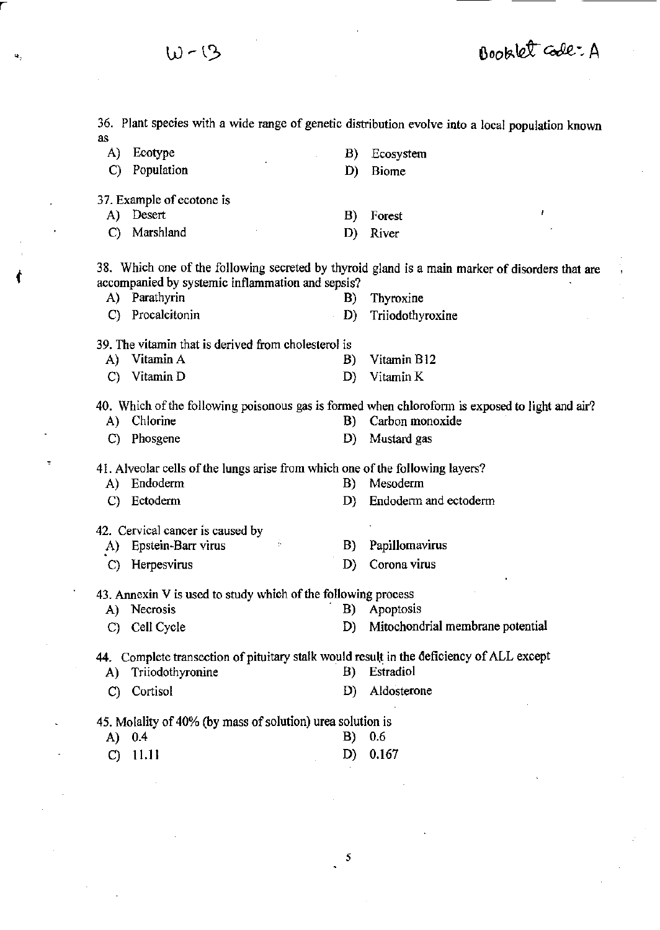**36. Plant species with a wide range of genetic distribution evolve into a local population known**  as A) Ecotype **C) Population 37. Example of ecotone is**  A) Desert C) Marshland B) Ecosystem D) **Biome**  B) Forest D) River **38. Which one of the following secreted by thyroid gland is a main marker of disorders that are accompanied by systemic inflammation and sepsis?**  A) Parathyrin B) Thyroxine **C) Procalcitonin D) Triiodothyroxine 39. The vitamin that is derived from cholesterol is**  A) Vitamin A B) Vitamin B12 C) Vitamin D D) Vitamin K **40. Which** of the **following poisonous gas is fanned when chlorofonn is exposed to light and air'?**  A) Chlorine B) Carbon monoxide C) Phosgene D) Mustard gas **41. Alveolar cells** of the **lungs arise from which one** of the **following layers?**  A) Endoderm B) Mesoderm C) Ectoderm D) Endoderm and ectoderm **42. Cervical cancer is caused by .A) Epstein-Barr virus C) Hetpesvirus B) Papillomavims D) Corona virus 43. Annexin V is used to study which** of the **following process A) Necrosis B) Apoptosis**  C) Cell Cycle D) Mitochondrial membrane potential **44. Complete transection** of pituitary **stalk would** resu\~ **in the deficiency of ALL except**  A) Triiodothyronine B) Estradiol C) Cortisol D) Aldosterone **45. Molality of 40% (by mass of solution) urea solution is**  A) 0.4 B) 0.6 C) 11.11 D) 0.167

W-13

Booklet Code: A

5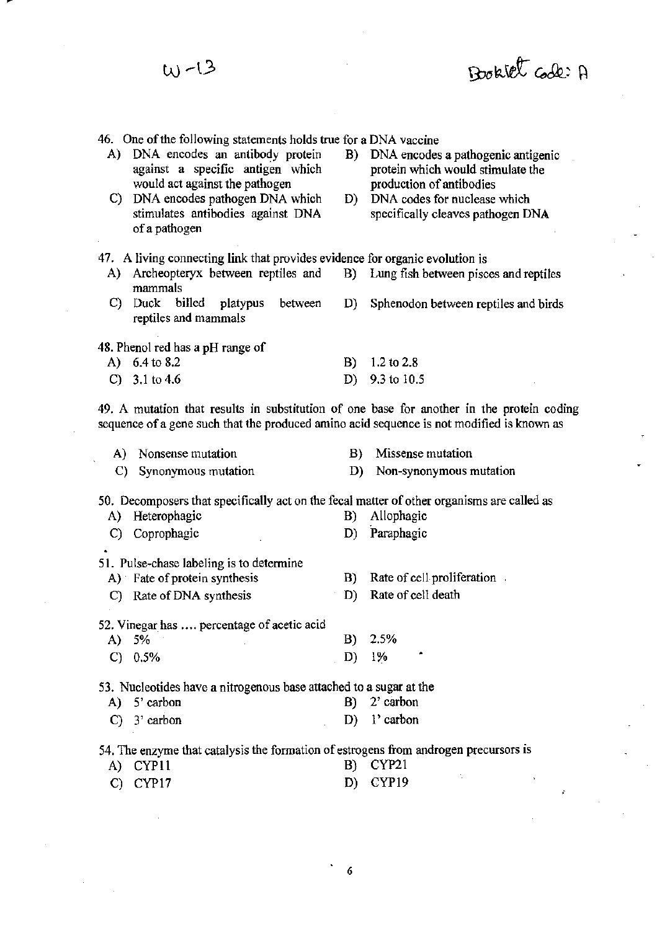| W-13                                                                                                                                                                                                                                                                    | Booklet Code: A                                                                                                                                                                      |
|-------------------------------------------------------------------------------------------------------------------------------------------------------------------------------------------------------------------------------------------------------------------------|--------------------------------------------------------------------------------------------------------------------------------------------------------------------------------------|
| 46. One of the following statements holds true for a DNA vaccine<br>A) DNA encodes an antibody protein<br>against a specific antigen which<br>would act against the pathogen<br>C) DNA encodes pathogen DNA which<br>stimulates antibodies against DNA<br>of a pathogen | DNA encodes a pathogenic antigenic<br>B)<br>protein which would stimulate the<br>production of antibodies<br>DNA codes for nuclease which<br>D)<br>specifically cleaves pathogen DNA |
| 47. A living connecting link that provides evidence for organic evolution is<br>A) Archeopteryx between reptiles and<br>mammals<br>billed platypus<br>C)<br>Duck<br>between<br>reptiles and mammals                                                                     | B) Lung fish between pisces and reptiles<br>D)<br>Sphenodon between reptiles and birds                                                                                               |
| 48. Phenol red has a pH range of<br>A) 6.4 to 8.2<br>$C)$ 3.1 to 4.6                                                                                                                                                                                                    | 1.2 to 2.8<br>B)<br>9.3 to 10.5<br>D)<br>49. A mutation that results in substitution of one base for another in the protein coding                                                   |
| sequence of a gene such that the produced amino acid sequence is not modified is known as<br>A) Nonsense mutation<br>C) Synonymous mutation                                                                                                                             | Missense mutation<br>B)<br>Non-synonymous mutation<br>D)                                                                                                                             |
| 50. Decomposers that specifically act on the fecal matter of other organisms are called as<br>Heterophagic<br>A)<br>C) Coprophagic<br>51. Pulse-chase labeling is to determine                                                                                          | Allophagic<br>B)<br>Paraphagic<br>D)                                                                                                                                                 |
| A) Fate of protein synthesis<br>Rate of DNA synthesis<br>C)<br>52. Vinegar has  percentage of acetic acid                                                                                                                                                               | Rate of cell proliferation.<br>B)<br>Rate of cell death<br>D)                                                                                                                        |
| 5%<br>A)<br>$\mathbf{C}$<br>0.5%<br>53. Nucleotides have a nitrogenous base attached to a sugar at the                                                                                                                                                                  | 2.5%<br>B)<br>$1\%$<br>D)                                                                                                                                                            |
| A) 5' carbon<br>3' carbon<br>C)<br>54. The enzyme that catalysis the formation of estrogens from androgen precursors is                                                                                                                                                 | $2^{\circ}$ carbon<br>B)<br>l' carbon<br>D)                                                                                                                                          |
| CYP11<br>A)<br>CYP17<br>C)                                                                                                                                                                                                                                              | <b>CYP21</b><br>B)<br>CYP19<br>D)<br>£                                                                                                                                               |

6

 $\ddot{\phantom{0}}$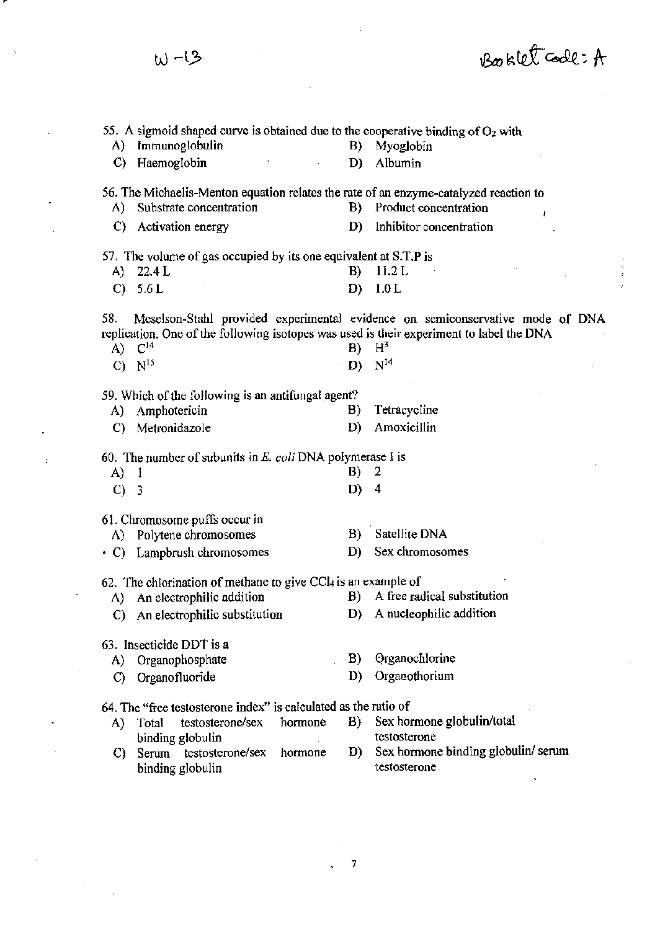Booklet Code: A  $W - 13$ 55. A sigmoid shaped curve is obtained due to the cooperative binding of  $O<sub>2</sub>$  with A) Immunoglobulin B) Myoglobin C) Haemoglobin D) Albumin 56. The Michaelis-Menton equation relates the rate of an enzyme-catalyzed reaction to<br>A) Substrate concentration B) Product concentration A) Substrate concentration B) C) Activation energy D) Inhibitor concentration 57. The volwne of gas occupied by its one equivalent at S.T.P is A) 22.4 L B) 11.2 L C) 5.6L D) l.OL 58. Meselson-Stahl provided experimental evidence on semiconservative mode of DNA replication. One of the following isotopes was used is their experiment to label the DNA<br>A)  $C^{14}$  B)  $H^3$ A)  $C^{14}$  B) C)  $N^{15}$  D)  $N^{14}$ 59. Which of the following is an antifungal agent? A) Amphotericin B) Tetracycline C) Metronidazole D) Amoxicillin 60. The number of subunits in E. *coli* DNA polymerase I is A) 1 B) 2 C) 3 D) 4 61. Chromosome puffs occur in B) Satellite DNA A) Polytene chromosomes D) Sex chromosomes • C) Lampbrush chromosomes 62. The chlorination of methane to give CCl<sub>4</sub> is an example of A) An electrophilic addition B) A free radical substitution C) An eiectrophilic substitution D) A nucleophilic addition 63. Insecticide DDT is a B) Organochlorine A) Organophosphate D) Organothorium C) Organofluoride 64. The "free testosterone index" is calculated as the ratio of A) Total testosterone/sex hormone B) Sex hormone globulin/total binding globulin testosterone C) Serum testosterone/sex hormone D) Sex hormone binding globulin/serum binding globulin testosterone

7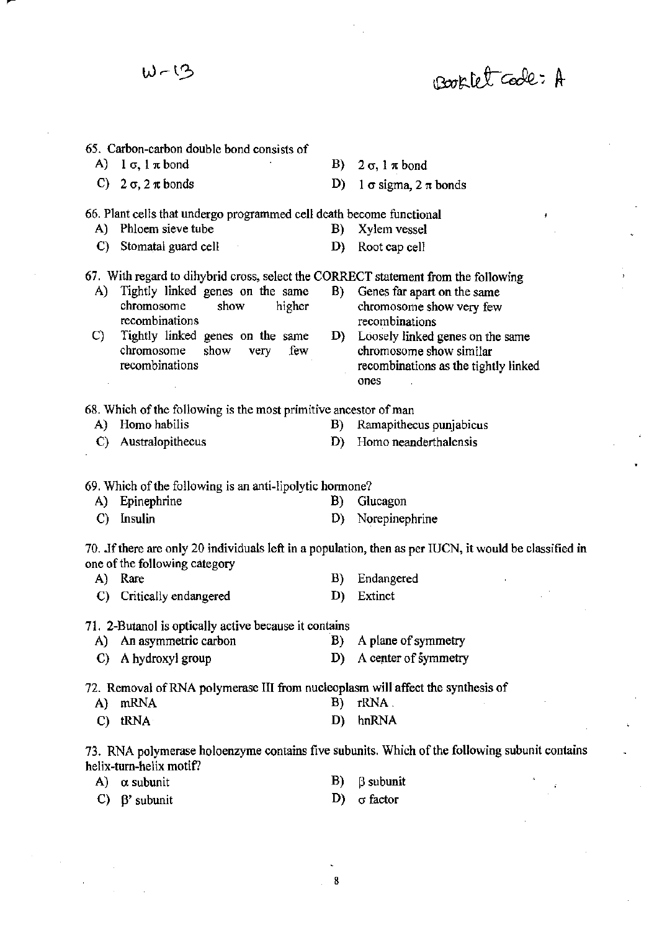**65. Carbon-carbon double bond consists of**  A)  $1 \sigma$ ,  $1 \pi$  bond C)  $2 \sigma$ ,  $2 \pi$  bonds B)  $2 \sigma$ ,  $1 \pi$  bond D) 1  $\sigma$  sigma, 2  $\pi$  bonds **66. Plant cells that undergo programmed cell death become functional**  A) Phloem sieve tube B) Xylem vessel C) Stomatal guard cell D) Root cap cell **67. With regard to dihybrid cross, select the CORRECT statement from the following A) Tightly linked genes on the same B) Genes far apart on the same chromosome show higher chromosome show very few recombinations recombinations C) Tightly linked genes on the same D) Loosely linked genes on the same chromosome show very few chromosome show similar recombinations recombinations as the tightly linked ones 68. Which** of the **following is the most primitive ancestor** of man A) Homo habilis **B**) Ramapithecus punjabicus **C) Australopithecus D) Homo neanderthalensis 69. Which** of the **following is an anti-lipolytic honnone?**  A) Epinephrine B) Glucagon **C) Insulin D) Norepinephrine 70. Jfthere are only 20 individuals left in a population, then as per IUCN, it would be classified in one** of the **following category**  A) Rare C) Critically endangered B) Endangered D) Extinct **71. 2-Butanol is optically active because it contains**  A) An asymmetric carbon B) A plane of symmetry C) A hydroxyl group D) A center of symmetry 72. Removal of RNA polymerase III from nucleoplasm will affect the synthesis of A) mRNA B) rRNA. C) tRNA D) hnRNA **73. RNA polymerase holoenzyme contains five subunits. Which** of the **following subunit contains** 

Booklet Code: A

**helix-turn-helix motif? A) a. subunit B**) *B* subunit

C)  $\beta'$  subunit D)  $\sigma$  factor

いーい

,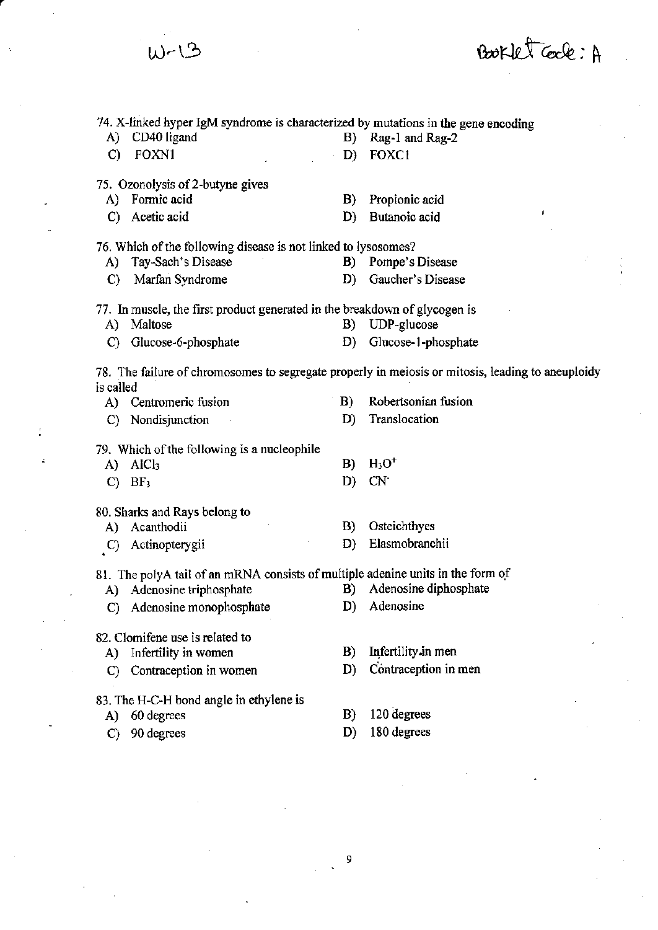|               | W-13                                                                               |               | Booklet Cock: A                                                                                   |  |
|---------------|------------------------------------------------------------------------------------|---------------|---------------------------------------------------------------------------------------------------|--|
|               | 74. X-linked hyper IgM syndrome is characterized by mutations in the gene encoding |               |                                                                                                   |  |
| A)            | CD40 ligand                                                                        |               | B) Rag-1 and Rag-2                                                                                |  |
| $\mathcal{C}$ | FOXN1                                                                              | D)<br>$\cdot$ | FOXC1                                                                                             |  |
|               | 75. Ozonolysis of 2-butyne gives                                                   |               |                                                                                                   |  |
| A)            | Formic acid                                                                        | B)            | Propionic acid                                                                                    |  |
| $\mathcal{C}$ | Acetic acid                                                                        | D)            | ,<br>Butanoic acid                                                                                |  |
|               | 76. Which of the following disease is not linked to lysosomes?                     |               |                                                                                                   |  |
|               | A) Tay-Sach's Disease                                                              |               | B) Pompe's Disease                                                                                |  |
| $\mathbf{C}$  | Marfan Syndrome                                                                    | D)            | Gaucher's Disease                                                                                 |  |
|               | 77. In muscle, the first product generated in the breakdown of glycogen is         |               |                                                                                                   |  |
| A)            | Maltose                                                                            | B)            | UDP-glucose                                                                                       |  |
| $\mathbf{C}$  | Glucose-6-phosphate                                                                | D)            | Glucose-1-phosphate                                                                               |  |
| is called     |                                                                                    |               | 78. The failure of chromosomes to segregate properly in meiosis or mitosis, leading to aneuploidy |  |
|               | A) Centromeric fusion                                                              | B)            | Robertsonian fusion                                                                               |  |
| $\mathbf{C}$  | Nondisjunction                                                                     | D)            | Translocation                                                                                     |  |
|               | 79. Which of the following is a nucleophile                                        |               |                                                                                                   |  |
| A)            | AIC <sub>3</sub>                                                                   | B)            | $H_3O^+$                                                                                          |  |
| $\mathbf{C}$  | BF <sub>3</sub>                                                                    | D)            | CN <sub>1</sub>                                                                                   |  |
|               | 80. Sharks and Rays belong to                                                      |               |                                                                                                   |  |
|               | A) Acanthodii                                                                      |               | B) Osteichthyes                                                                                   |  |
| $\mathbf{C}$  | Actinopterygii                                                                     | D)            | Elasmobranchii                                                                                    |  |
|               | 81. The polyA tail of an mRNA consists of multiple adenine units in the form of    |               |                                                                                                   |  |
|               | Adenosine triphosphate                                                             | B)            | Adenosine diphosphate                                                                             |  |
| A)            |                                                                                    |               |                                                                                                   |  |
| C)            | Adenosine monophosphate                                                            | D)            | Adenosine                                                                                         |  |
|               |                                                                                    |               |                                                                                                   |  |
|               | 82. Clomifene use is related to                                                    | B)            | Infertility in men                                                                                |  |
| A)<br>C)      | Infertility in women<br>Contraception in women                                     | D)            | Contraception in men                                                                              |  |
|               |                                                                                    |               |                                                                                                   |  |
| A)            | 83. The H-C-H bond angle in ethylene is<br>60 degrees                              | B)            | 120 degrees                                                                                       |  |

 $\begin{bmatrix} 9 \end{bmatrix}$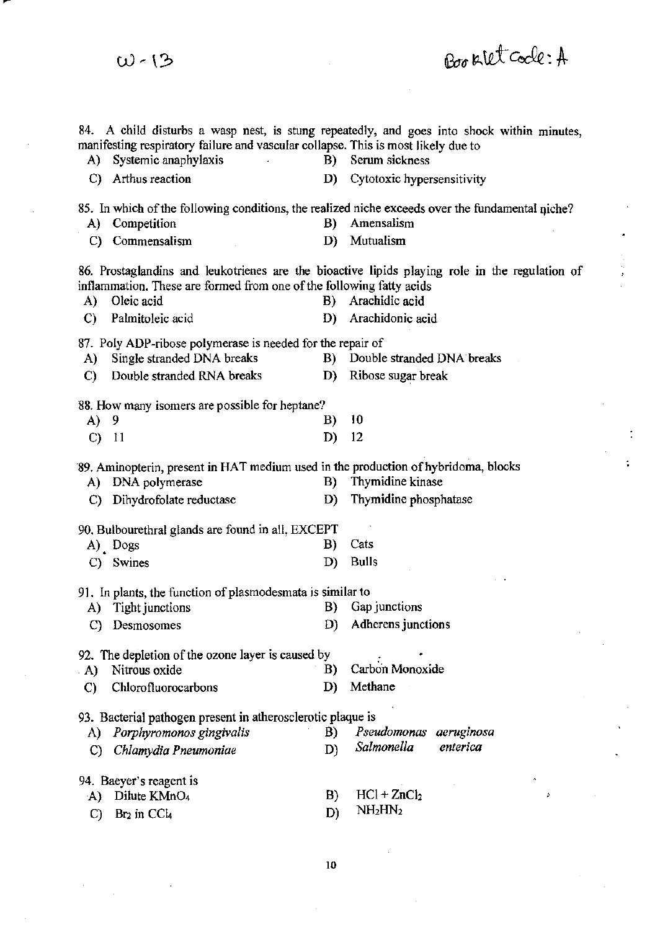84. A child disturbs a wasp nest, is stung repeatedly, and goes into shock within minutes, manifesting respiratory failure and vascular collapse. This is most likely due to A) Systemic anaphylaxis B) Serum sickness C) Arthus reaction D) Cytotoxic hypersensitivity 85. In which of the following conditions, the realized niche exceeds over the fundamental niche? A) Competition B) Amensalism C) Commensalism D) Mutualism 86. Prostaglandins and leukotrienes are the bioactive lipids playing role in the regulation of inflammation. These are formed from one of the following fatty acids A) Oleic acid B) Arachidic acid C) Palmitoleic acid D) Arachidonic acid 87. Poly ADP-ribose polymerase is needed for the repair of A) Single stranded DNA breaks B) Double stranded DNA breaks C) Double stranded RNA breaks D) Ribose sugar break 88. How many isomers are possible for heptane? A) 9 B) 10 C) 11 D) 12 '89. Aminopterin, present in HAT medium used in the production of hybridoma, blocks A) DNA polymerase B) Thymidine kinase C) Dihydrofolate reductase D) Thymidine phosphatase 90. Bulbourethral glands are found in all, EXCEPT A) Dogs B) Cats C) Swines D) Bulls 91. In plants, the function of plasmodesmata is similar to A) Tight junctions B) Gap junctions C) Desmosomes D) Adherens junctions 92. The depletion of the ozone layer is caused by . A) Nitrous oxide B) C) Chlorofluorocarbons D) Carbon Monoxide Methane 93. Bacterial pathogen present in atherosclerotic plaque is A) *Porphyromonos gingivalis* **B**) C) *Chlamydia Pneumoniae* D) *Salmonella*  94. Baeyer's reagent is A) Dilute KMnO<sub>4</sub> B)  $HCl + ZnCl<sub>2</sub>$ Pseudomonas aeruginosa *enterica* 

Booklet Code: A

C) Br<sub>2</sub> in CCl<sub>4</sub>

 $W<sub>13</sub>$ 

10

 $D)$  NH<sub>2</sub>HN<sub>2</sub>